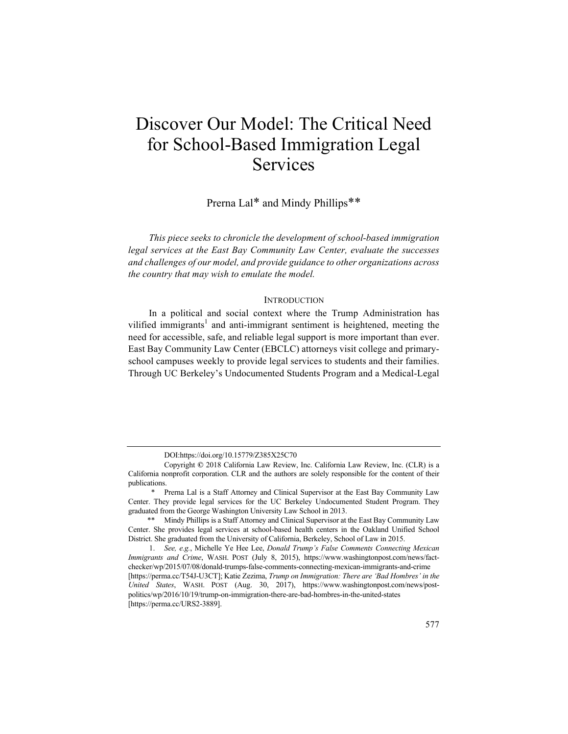# Discover Our Model: The Critical Need for School-Based Immigration Legal Services

# Prerna Lal\* and Mindy Phillips\*\*

*This piece seeks to chronicle the development of school-based immigration legal services at the East Bay Community Law Center, evaluate the successes and challenges of our model, and provide guidance to other organizations across the country that may wish to emulate the model.*

# **INTRODUCTION**

In a political and social context where the Trump Administration has vilified immigrants<sup>1</sup> and anti-immigrant sentiment is heightened, meeting the need for accessible, safe, and reliable legal support is more important than ever. East Bay Community Law Center (EBCLC) attorneys visit college and primaryschool campuses weekly to provide legal services to students and their families. Through UC Berkeley's Undocumented Students Program and a Medical-Legal

DOI:https://doi.org/10.15779/Z385X25C70

Copyright **©** 2018 California Law Review, Inc. California Law Review, Inc. (CLR) is a California nonprofit corporation. CLR and the authors are solely responsible for the content of their publications.

<sup>\*</sup> Prerna Lal is a Staff Attorney and Clinical Supervisor at the East Bay Community Law Center. They provide legal services for the UC Berkeley Undocumented Student Program. They graduated from the George Washington University Law School in 2013.

<sup>\*\*</sup> Mindy Phillips is a Staff Attorney and Clinical Supervisor at the East Bay Community Law Center. She provides legal services at school-based health centers in the Oakland Unified School District. She graduated from the University of California, Berkeley, School of Law in 2015.

<sup>1.</sup> *See, e.g.*, Michelle Ye Hee Lee, *Donald Trump's False Comments Connecting Mexican Immigrants and Crime*, WASH. POST (July 8, 2015), https://www.washingtonpost.com/news/factchecker/wp/2015/07/08/donald-trumps-false-comments-connecting-mexican-immigrants-and-crime [https://perma.cc/T54J-U3CT]; Katie Zezima, *Trump on Immigration: There are 'Bad Hombres' in the United States*, WASH. POST (Aug. 30, 2017), https://www.washingtonpost.com/news/postpolitics/wp/2016/10/19/trump-on-immigration-there-are-bad-hombres-in-the-united-states [https://perma.cc/URS2-3889].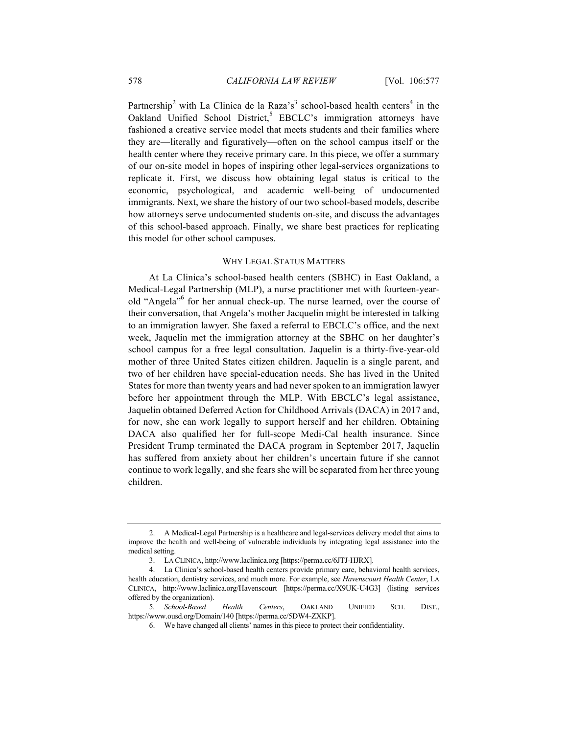Partnership<sup>2</sup> with La Clinica de la Raza's<sup>3</sup> school-based health centers<sup>4</sup> in the Oakland Unified School District,<sup>5</sup> EBCLC's immigration attorneys have fashioned a creative service model that meets students and their families where they are—literally and figuratively—often on the school campus itself or the health center where they receive primary care. In this piece, we offer a summary of our on-site model in hopes of inspiring other legal-services organizations to replicate it. First, we discuss how obtaining legal status is critical to the economic, psychological, and academic well-being of undocumented immigrants. Next, we share the history of our two school-based models, describe how attorneys serve undocumented students on-site, and discuss the advantages of this school-based approach. Finally, we share best practices for replicating this model for other school campuses.

# WHY LEGAL STATUS MATTERS

At La Clinica's school-based health centers (SBHC) in East Oakland, a Medical-Legal Partnership (MLP), a nurse practitioner met with fourteen-yearold "Angela"6 for her annual check-up. The nurse learned, over the course of their conversation, that Angela's mother Jacquelin might be interested in talking to an immigration lawyer. She faxed a referral to EBCLC's office, and the next week, Jaquelin met the immigration attorney at the SBHC on her daughter's school campus for a free legal consultation. Jaquelin is a thirty-five-year-old mother of three United States citizen children. Jaquelin is a single parent, and two of her children have special-education needs. She has lived in the United States for more than twenty years and had never spoken to an immigration lawyer before her appointment through the MLP. With EBCLC's legal assistance, Jaquelin obtained Deferred Action for Childhood Arrivals (DACA) in 2017 and, for now, she can work legally to support herself and her children. Obtaining DACA also qualified her for full-scope Medi-Cal health insurance. Since President Trump terminated the DACA program in September 2017, Jaquelin has suffered from anxiety about her children's uncertain future if she cannot continue to work legally, and she fears she will be separated from her three young children.

<sup>2.</sup> A Medical-Legal Partnership is a healthcare and legal-services delivery model that aims to improve the health and well-being of vulnerable individuals by integrating legal assistance into the medical setting.

<sup>3.</sup> LA CLINICA, http://www.laclinica.org [https://perma.cc/6JTJ-HJRX].

<sup>4.</sup> La Clinica's school-based health centers provide primary care, behavioral health services, health education, dentistry services, and much more. For example, see *Havenscourt Health Center*, LA CLINICA, http://www.laclinica.org/Havenscourt [https://perma.cc/X9UK-U4G3] (listing services offered by the organization).

<sup>5</sup>*. School-Based Health Centers*, OAKLAND UNIFIED SCH. DIST., https://www.ousd.org/Domain/140 [https://perma.cc/5DW4-ZXKP].

<sup>6.</sup> We have changed all clients' names in this piece to protect their confidentiality.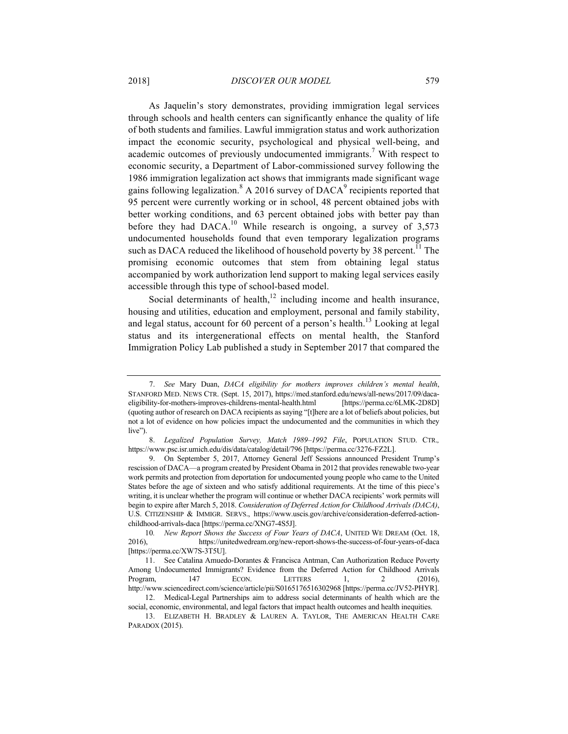As Jaquelin's story demonstrates, providing immigration legal services through schools and health centers can significantly enhance the quality of life of both students and families. Lawful immigration status and work authorization impact the economic security, psychological and physical well-being, and academic outcomes of previously undocumented immigrants.<sup>7</sup> With respect to economic security, a Department of Labor-commissioned survey following the 1986 immigration legalization act shows that immigrants made significant wage gains following legalization.<sup>8</sup> A 2016 survey of  $DACA<sup>9</sup>$  recipients reported that 95 percent were currently working or in school, 48 percent obtained jobs with better working conditions, and 63 percent obtained jobs with better pay than before they had DACA.<sup>10</sup> While research is ongoing, a survey of  $3,573$ undocumented households found that even temporary legalization programs such as DACA reduced the likelihood of household poverty by 38 percent.<sup>11</sup> The promising economic outcomes that stem from obtaining legal status accompanied by work authorization lend support to making legal services easily accessible through this type of school-based model.

Social determinants of health, $12$  including income and health insurance, housing and utilities, education and employment, personal and family stability, and legal status, account for 60 percent of a person's health.<sup>13</sup> Looking at legal status and its intergenerational effects on mental health, the Stanford Immigration Policy Lab published a study in September 2017 that compared the

<sup>7.</sup> *See* Mary Duan, *DACA eligibility for mothers improves children's mental health*, STANFORD MED. NEWS CTR. (Sept. 15, 2017), https://med.stanford.edu/news/all-news/2017/09/dacaeligibility-for-mothers-improves-childrens-mental-health.html [https://perma.cc/6LMK-2D8D] (quoting author of research on DACA recipients as saying "[t]here are a lot of beliefs about policies, but not a lot of evidence on how policies impact the undocumented and the communities in which they live").

<sup>8.</sup> *Legalized Population Survey, Match 1989–1992 File*, POPULATION STUD. CTR.*,*  https://www.psc.isr.umich.edu/dis/data/catalog/detail/796 [https://perma.cc/3276-FZ2L].

<sup>9.</sup> On September 5, 2017, Attorney General Jeff Sessions announced President Trump's rescission of DACA—a program created by President Obama in 2012 that provides renewable two-year work permits and protection from deportation for undocumented young people who came to the United States before the age of sixteen and who satisfy additional requirements. At the time of this piece's writing, it is unclear whether the program will continue or whether DACA recipients' work permits will begin to expire after March 5, 2018. *Consideration of Deferred Action for Childhood Arrivals (DACA)*, U.S. CITIZENSHIP & IMMIGR. SERVS., https://www.uscis.gov/archive/consideration-deferred-actionchildhood-arrivals-daca [https://perma.cc/XNG7-4S5J].

<sup>10</sup>*. New Report Shows the Success of Four Years of DACA*, UNITED WE DREAM (Oct. 18, 2016), https://unitedwedream.org/new-report-shows-the-success-of-four-years-of-daca [https://perma.cc/XW7S-3T5U].

<sup>11.</sup> See Catalina Amuedo-Dorantes & Francisca Antman, Can Authorization Reduce Poverty Among Undocumented Immigrants? Evidence from the Deferred Action for Childhood Arrivals Program, 147 ECON. LETTERS 1, 2 (2016), http://www.sciencedirect.com/science/article/pii/S0165176516302968 [https://perma.cc/JV52-PHYR]. 12. Medical-Legal Partnerships aim to address social determinants of health which are the

social, economic, environmental, and legal factors that impact health outcomes and health inequities.

<sup>13.</sup> ELIZABETH H. BRADLEY & LAUREN A. TAYLOR, THE AMERICAN HEALTH CARE PARADOX (2015).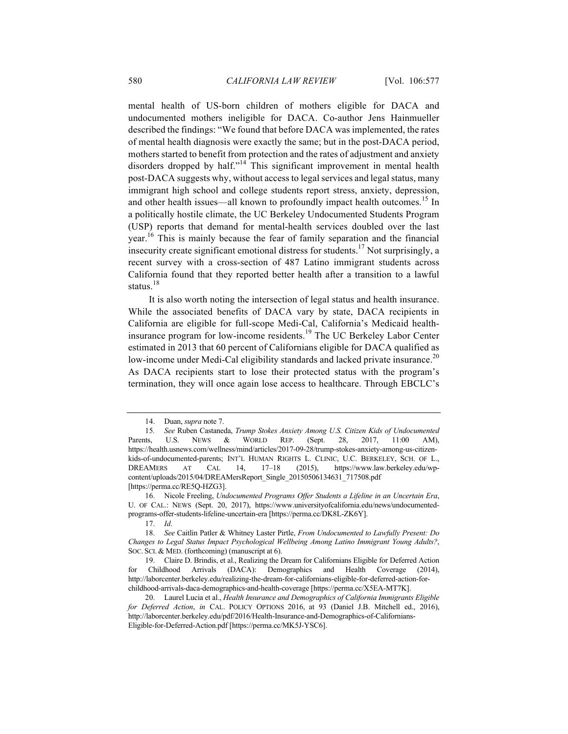mental health of US-born children of mothers eligible for DACA and undocumented mothers ineligible for DACA. Co-author Jens Hainmueller described the findings: "We found that before DACA was implemented, the rates of mental health diagnosis were exactly the same; but in the post-DACA period, mothers started to benefit from protection and the rates of adjustment and anxiety disorders dropped by half."<sup>14</sup> This significant improvement in mental health post-DACA suggests why, without access to legal services and legal status, many immigrant high school and college students report stress, anxiety, depression, and other health issues—all known to profoundly impact health outcomes.<sup>15</sup> In a politically hostile climate, the UC Berkeley Undocumented Students Program (USP) reports that demand for mental-health services doubled over the last year.<sup>16</sup> This is mainly because the fear of family separation and the financial insecurity create significant emotional distress for students.<sup>17</sup> Not surprisingly, a recent survey with a cross-section of 487 Latino immigrant students across California found that they reported better health after a transition to a lawful status.<sup>18</sup>

It is also worth noting the intersection of legal status and health insurance. While the associated benefits of DACA vary by state, DACA recipients in California are eligible for full-scope Medi-Cal, California's Medicaid healthinsurance program for low-income residents.<sup>19</sup> The UC Berkeley Labor Center estimated in 2013 that 60 percent of Californians eligible for DACA qualified as low-income under Medi-Cal eligibility standards and lacked private insurance.<sup>20</sup> As DACA recipients start to lose their protected status with the program's termination, they will once again lose access to healthcare. Through EBCLC's

<sup>14.</sup> Duan, *supra* note 7.

<sup>15</sup>*. See* Ruben Castaneda, *Trump Stokes Anxiety Among U.S. Citizen Kids of Undocumented*  Parents, U.S. NEWS & WORLD REP. (Sept. 28, 2017, 11:00 AM), https://health.usnews.com/wellness/mind/articles/2017-09-28/trump-stokes-anxiety-among-us-citizenkids-of-undocumented-parents; INT'L HUMAN RIGHTS L. CLINIC, U.C. BERKELEY, SCH. OF L., DREAMERS AT CAL 14, 17–18 (2015), https://www.law.berkeley.edu/wpcontent/uploads/2015/04/DREAMersReport\_Single\_20150506134631\_717508.pdf [https://perma.cc/RE5Q-HZG3].

<sup>16.</sup> Nicole Freeling, *Undocumented Programs Offer Students a Lifeline in an Uncertain Era*, U. OF CAL.: NEWS (Sept. 20, 2017), https://www.universityofcalifornia.edu/news/undocumentedprograms-offer-students-lifeline-uncertain-era [https://perma.cc/DK8L-ZK6Y].

<sup>17.</sup> *Id*.

<sup>18.</sup> *See* Caitlin Patler & Whitney Laster Pirtle, *From Undocumented to Lawfully Present: Do Changes to Legal Status Impact Psychological Wellbeing Among Latino Immigrant Young Adults?*, SOC. SCI. & MED. (forthcoming) (manuscript at 6).

<sup>19.</sup> Claire D. Brindis, et al., Realizing the Dream for Californians Eligible for Deferred Action for Childhood Arrivals (DACA): Demographics and Health Coverage (2014), http://laborcenter.berkeley.edu/realizing-the-dream-for-californians-eligible-for-deferred-action-forchildhood-arrivals-daca-demographics-and-health-coverage [https://perma.cc/X5EA-MT7K].

<sup>20.</sup> Laurel Lucia et al., *Health Insurance and Demographics of California Immigrants Eligible for Deferred Action*, *in* CAL. POLICY OPTIONS 2016, at 93 (Daniel J.B. Mitchell ed., 2016), http://laborcenter.berkeley.edu/pdf/2016/Health-Insurance-and-Demographics-of-Californians-Eligible-for-Deferred-Action.pdf [https://perma.cc/MK5J-YSC6].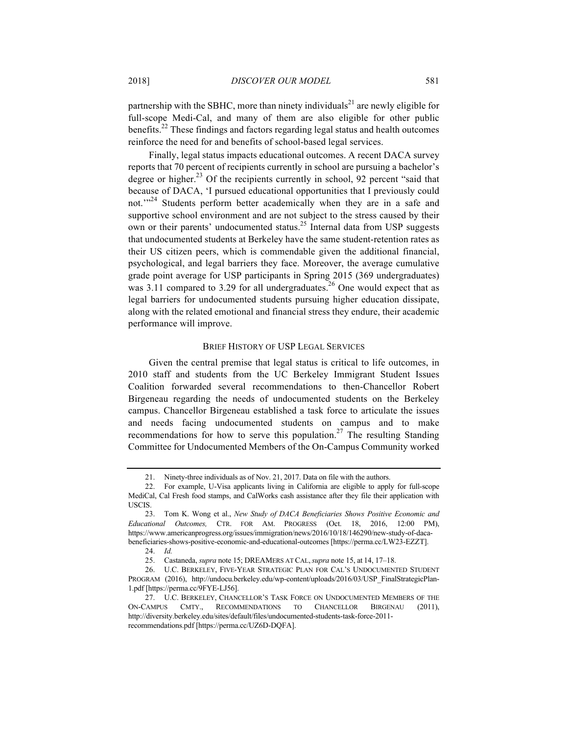partnership with the SBHC, more than ninety individuals<sup>21</sup> are newly eligible for full-scope Medi-Cal, and many of them are also eligible for other public benefits.<sup>22</sup> These findings and factors regarding legal status and health outcomes reinforce the need for and benefits of school-based legal services.

Finally, legal status impacts educational outcomes. A recent DACA survey reports that 70 percent of recipients currently in school are pursuing a bachelor's degree or higher. <sup>23</sup> Of the recipients currently in school, 92 percent "said that because of DACA, 'I pursued educational opportunities that I previously could not.'"<sup>24</sup> Students perform better academically when they are in a safe and supportive school environment and are not subject to the stress caused by their own or their parents' undocumented status.<sup>25</sup> Internal data from USP suggests that undocumented students at Berkeley have the same student-retention rates as their US citizen peers, which is commendable given the additional financial, psychological, and legal barriers they face. Moreover, the average cumulative grade point average for USP participants in Spring 2015 (369 undergraduates) was 3.11 compared to 3.29 for all undergraduates.<sup>26</sup> One would expect that as legal barriers for undocumented students pursuing higher education dissipate, along with the related emotional and financial stress they endure, their academic performance will improve.

# BRIEF HISTORY OF USP LEGAL SERVICES

Given the central premise that legal status is critical to life outcomes, in 2010 staff and students from the UC Berkeley Immigrant Student Issues Coalition forwarded several recommendations to then-Chancellor Robert Birgeneau regarding the needs of undocumented students on the Berkeley campus. Chancellor Birgeneau established a task force to articulate the issues and needs facing undocumented students on campus and to make recommendations for how to serve this population.<sup>27</sup> The resulting Standing Committee for Undocumented Members of the On-Campus Community worked

<sup>21.</sup> Ninety-three individuals as of Nov. 21, 2017. Data on file with the authors.

<sup>22.</sup> For example, U-Visa applicants living in California are eligible to apply for full-scope MediCal, Cal Fresh food stamps, and CalWorks cash assistance after they file their application with USCIS.

<sup>23.</sup> Tom K. Wong et al., *New Study of DACA Beneficiaries Shows Positive Economic and Educational Outcomes,* CTR. FOR AM. PROGRESS (Oct. 18, 2016, 12:00 PM), https://www.americanprogress.org/issues/immigration/news/2016/10/18/146290/new-study-of-dacabeneficiaries-shows-positive-economic-and-educational-outcomes [https://perma.cc/LW23-EZZT].

<sup>24.</sup> *Id.*

<sup>25.</sup> Castaneda, *supra* note 15; DREAMERS AT CAL,*supra* note 15, at 14, 17–18.

<sup>26.</sup> U.C. BERKELEY, FIVE-YEAR STRATEGIC PLAN FOR CAL'S UNDOCUMENTED STUDENT PROGRAM (2016), http://undocu.berkeley.edu/wp-content/uploads/2016/03/USP\_FinalStrategicPlan-1.pdf [https://perma.cc/9FYE-LJ56].

<sup>27.</sup> U.C. BERKELEY, CHANCELLOR'S TASK FORCE ON UNDOCUMENTED MEMBERS OF THE ON-CAMPUS CMTY., RECOMMENDATIONS TO CHANCELLOR BIRGENAU (2011), http://diversity.berkeley.edu/sites/default/files/undocumented-students-task-force-2011 recommendations.pdf [https://perma.cc/UZ6D-DQFA].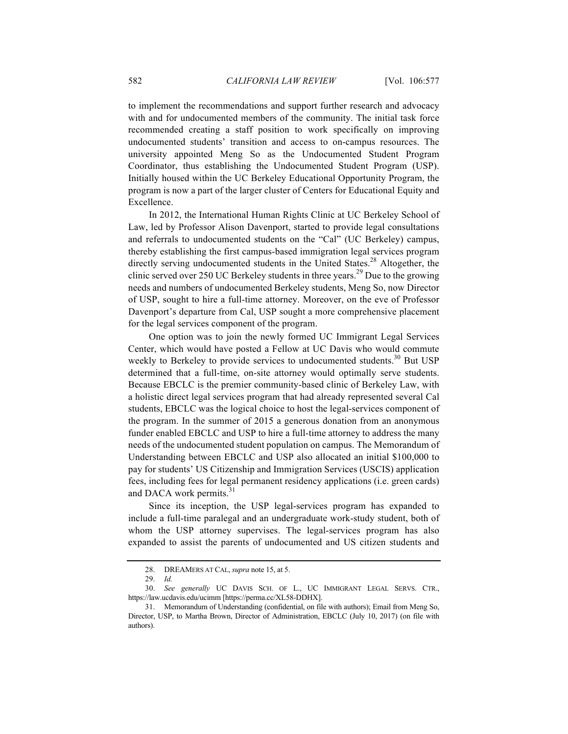to implement the recommendations and support further research and advocacy with and for undocumented members of the community. The initial task force recommended creating a staff position to work specifically on improving undocumented students' transition and access to on-campus resources. The university appointed Meng So as the Undocumented Student Program Coordinator, thus establishing the Undocumented Student Program (USP). Initially housed within the UC Berkeley Educational Opportunity Program, the program is now a part of the larger cluster of Centers for Educational Equity and Excellence.

In 2012, the International Human Rights Clinic at UC Berkeley School of Law, led by Professor Alison Davenport, started to provide legal consultations and referrals to undocumented students on the "Cal" (UC Berkeley) campus, thereby establishing the first campus-based immigration legal services program directly serving undocumented students in the United States.<sup>28</sup> Altogether, the clinic served over 250 UC Berkeley students in three years.<sup>29</sup> Due to the growing needs and numbers of undocumented Berkeley students, Meng So, now Director of USP, sought to hire a full-time attorney. Moreover, on the eve of Professor Davenport's departure from Cal, USP sought a more comprehensive placement for the legal services component of the program.

One option was to join the newly formed UC Immigrant Legal Services Center, which would have posted a Fellow at UC Davis who would commute weekly to Berkeley to provide services to undocumented students.<sup>30</sup> But USP determined that a full-time, on-site attorney would optimally serve students. Because EBCLC is the premier community-based clinic of Berkeley Law, with a holistic direct legal services program that had already represented several Cal students, EBCLC was the logical choice to host the legal-services component of the program. In the summer of 2015 a generous donation from an anonymous funder enabled EBCLC and USP to hire a full-time attorney to address the many needs of the undocumented student population on campus. The Memorandum of Understanding between EBCLC and USP also allocated an initial \$100,000 to pay for students' US Citizenship and Immigration Services (USCIS) application fees, including fees for legal permanent residency applications (i.e. green cards) and DACA work permits.<sup>31</sup>

Since its inception, the USP legal-services program has expanded to include a full-time paralegal and an undergraduate work-study student, both of whom the USP attorney supervises. The legal-services program has also expanded to assist the parents of undocumented and US citizen students and

<sup>28.</sup> DREAMERS AT CAL, *supra* note 15, at 5.

<sup>29.</sup> *Id.*

<sup>30.</sup> *See generally* UC DAVIS SCH. OF L., UC IMMIGRANT LEGAL SERVS. CTR., https://law.ucdavis.edu/ucimm [https://perma.cc/XL58-DDHX].

<sup>31.</sup> Memorandum of Understanding (confidential, on file with authors); Email from Meng So, Director, USP, to Martha Brown, Director of Administration, EBCLC (July 10, 2017) (on file with authors).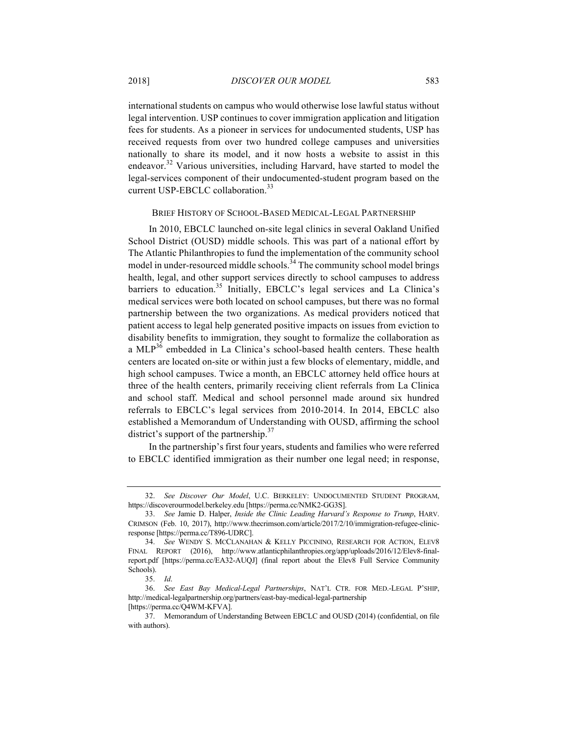international students on campus who would otherwise lose lawful status without legal intervention. USP continues to cover immigration application and litigation fees for students. As a pioneer in services for undocumented students, USP has received requests from over two hundred college campuses and universities nationally to share its model, and it now hosts a website to assist in this endeavor.<sup>32</sup> Various universities, including Harvard, have started to model the legal-services component of their undocumented-student program based on the current USP-EBCLC collaboration.<sup>33</sup>

#### BRIEF HISTORY OF SCHOOL-BASED MEDICAL-LEGAL PARTNERSHIP

In 2010, EBCLC launched on-site legal clinics in several Oakland Unified School District (OUSD) middle schools. This was part of a national effort by The Atlantic Philanthropies to fund the implementation of the community school model in under-resourced middle schools.<sup>34</sup> The community school model brings health, legal, and other support services directly to school campuses to address barriers to education.<sup>35</sup> Initially, EBCLC's legal services and La Clinica's medical services were both located on school campuses, but there was no formal partnership between the two organizations. As medical providers noticed that patient access to legal help generated positive impacts on issues from eviction to disability benefits to immigration, they sought to formalize the collaboration as a MLP<sup>36</sup> embedded in La Clinica's school-based health centers. These health centers are located on-site or within just a few blocks of elementary, middle, and high school campuses. Twice a month, an EBCLC attorney held office hours at three of the health centers, primarily receiving client referrals from La Clinica and school staff. Medical and school personnel made around six hundred referrals to EBCLC's legal services from 2010-2014. In 2014, EBCLC also established a Memorandum of Understanding with OUSD, affirming the school district's support of the partnership. $37$ 

In the partnership's first four years, students and families who were referred to EBCLC identified immigration as their number one legal need; in response,

<sup>32.</sup> *See Discover Our Model*, U.C. BERKELEY: UNDOCUMENTED STUDENT PROGRAM, https://discoverourmodel.berkeley.edu [https://perma.cc/NMK2-GG3S].

<sup>33.</sup> *See* Jamie D. Halper, *Inside the Clinic Leading Harvard's Response to Trump*, HARV. CRIMSON (Feb. 10, 2017), http://www.thecrimson.com/article/2017/2/10/immigration-refugee-clinicresponse [https://perma.cc/T896-UDRC].

<sup>34.</sup> *See* WENDY S. MCCLANAHAN & KELLY PICCININO, RESEARCH FOR ACTION, ELEV8 FINAL REPORT (2016), http://www.atlanticphilanthropies.org/app/uploads/2016/12/Elev8-finalreport.pdf [https://perma.cc/EA32-AUQJ] (final report about the Elev8 Full Service Community Schools).

<sup>35.</sup> *Id*.

<sup>36.</sup> *See East Bay Medical-Legal Partnerships*, NAT'L CTR. FOR MED.-LEGAL P'SHIP, http://medical-legalpartnership.org/partners/east-bay-medical-legal-partnership [https://perma.cc/Q4WM-KFVA].

<sup>37.</sup> Memorandum of Understanding Between EBCLC and OUSD (2014) (confidential, on file with authors).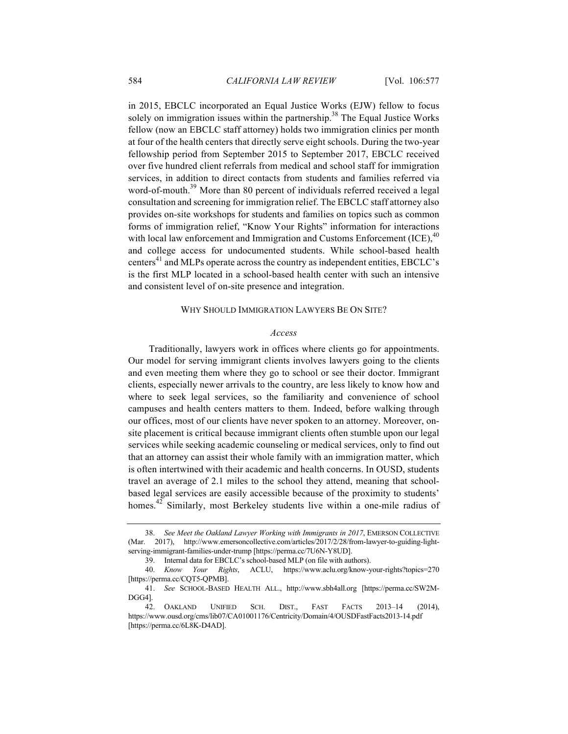in 2015, EBCLC incorporated an Equal Justice Works (EJW) fellow to focus solely on immigration issues within the partnership.<sup>38</sup> The Equal Justice Works fellow (now an EBCLC staff attorney) holds two immigration clinics per month at four of the health centers that directly serve eight schools. During the two-year fellowship period from September 2015 to September 2017, EBCLC received over five hundred client referrals from medical and school staff for immigration services, in addition to direct contacts from students and families referred via word-of-mouth.<sup>39</sup> More than 80 percent of individuals referred received a legal consultation and screening for immigration relief. The EBCLC staff attorney also provides on-site workshops for students and families on topics such as common forms of immigration relief, "Know Your Rights" information for interactions with local law enforcement and Immigration and Customs Enforcement  $(ICE)$ ,<sup>40</sup> and college access for undocumented students. While school-based health centers $41$  and MLPs operate across the country as independent entities, EBCLC's is the first MLP located in a school-based health center with such an intensive and consistent level of on-site presence and integration.

#### WHY SHOULD IMMIGRATION LAWYERS BE ON SITE?

#### *Access*

Traditionally, lawyers work in offices where clients go for appointments. Our model for serving immigrant clients involves lawyers going to the clients and even meeting them where they go to school or see their doctor. Immigrant clients, especially newer arrivals to the country, are less likely to know how and where to seek legal services, so the familiarity and convenience of school campuses and health centers matters to them. Indeed, before walking through our offices, most of our clients have never spoken to an attorney. Moreover, onsite placement is critical because immigrant clients often stumble upon our legal services while seeking academic counseling or medical services, only to find out that an attorney can assist their whole family with an immigration matter, which is often intertwined with their academic and health concerns. In OUSD, students travel an average of 2.1 miles to the school they attend, meaning that schoolbased legal services are easily accessible because of the proximity to students' homes.<sup>42</sup> Similarly, most Berkeley students live within a one-mile radius of

<sup>38.</sup> *See Meet the Oakland Lawyer Working with Immigrants in 2017*, EMERSON COLLECTIVE (Mar. 2017), http://www.emersoncollective.com/articles/2017/2/28/from-lawyer-to-guiding-lightserving-immigrant-families-under-trump [https://perma.cc/7U6N-Y8UD].

<sup>39.</sup> Internal data for EBCLC's school-based MLP (on file with authors).

<sup>40.</sup> *Know Your Rights*, ACLU, https://www.aclu.org/know-your-rights?topics=270 [https://perma.cc/CQT5-QPMB].

<sup>41.</sup> *See* SCHOOL-BASED HEALTH ALL., http://www.sbh4all.org [https://perma.cc/SW2M-DGG4].

<sup>42.</sup> OAKLAND UNIFIED SCH. DIST., FAST FACTS 2013–14 (2014), https://www.ousd.org/cms/lib07/CA01001176/Centricity/Domain/4/OUSDFastFacts2013-14.pdf [https://perma.cc/6L8K-D4AD].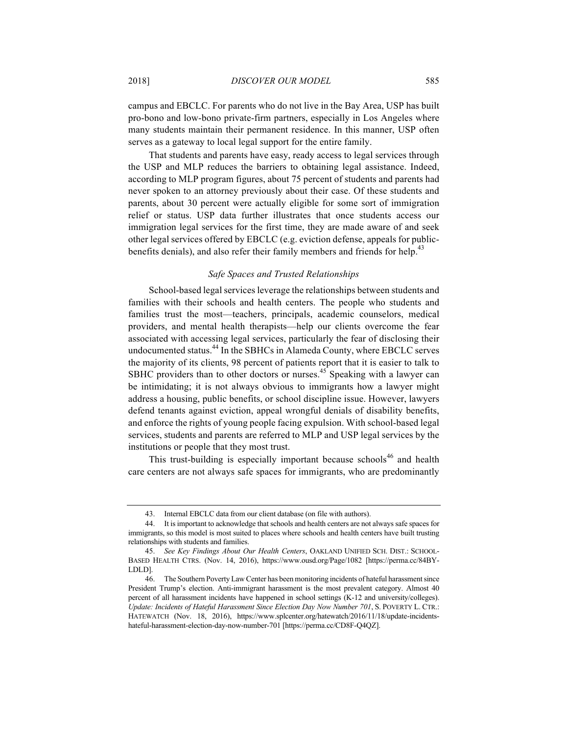campus and EBCLC. For parents who do not live in the Bay Area, USP has built pro-bono and low-bono private-firm partners, especially in Los Angeles where many students maintain their permanent residence. In this manner, USP often serves as a gateway to local legal support for the entire family.

That students and parents have easy, ready access to legal services through the USP and MLP reduces the barriers to obtaining legal assistance. Indeed, according to MLP program figures, about 75 percent of students and parents had never spoken to an attorney previously about their case. Of these students and parents, about 30 percent were actually eligible for some sort of immigration relief or status. USP data further illustrates that once students access our immigration legal services for the first time, they are made aware of and seek other legal services offered by EBCLC (e.g. eviction defense, appeals for publicbenefits denials), and also refer their family members and friends for help.<sup>43</sup>

## *Safe Spaces and Trusted Relationships*

School-based legal services leverage the relationships between students and families with their schools and health centers. The people who students and families trust the most—teachers, principals, academic counselors, medical providers, and mental health therapists—help our clients overcome the fear associated with accessing legal services, particularly the fear of disclosing their undocumented status.<sup>44</sup> In the SBHCs in Alameda County, where EBCLC serves the majority of its clients, 98 percent of patients report that it is easier to talk to SBHC providers than to other doctors or nurses.<sup>45</sup> Speaking with a lawyer can be intimidating; it is not always obvious to immigrants how a lawyer might address a housing, public benefits, or school discipline issue. However, lawyers defend tenants against eviction, appeal wrongful denials of disability benefits, and enforce the rights of young people facing expulsion. With school-based legal services, students and parents are referred to MLP and USP legal services by the institutions or people that they most trust.

This trust-building is especially important because schools $46$  and health care centers are not always safe spaces for immigrants, who are predominantly

<sup>43.</sup> Internal EBCLC data from our client database (on file with authors).

<sup>44.</sup> It is important to acknowledge that schools and health centers are not always safe spaces for immigrants, so this model is most suited to places where schools and health centers have built trusting relationships with students and families.

<sup>45.</sup> *See Key Findings About Our Health Centers*, OAKLAND UNIFIED SCH. DIST.: SCHOOL-BASED HEALTH CTRS. (Nov. 14, 2016), https://www.ousd.org/Page/1082 [https://perma.cc/84BY-LDLD].

<sup>46.</sup> The Southern Poverty Law Center has been monitoring incidents of hateful harassment since President Trump's election. Anti-immigrant harassment is the most prevalent category. Almost 40 percent of all harassment incidents have happened in school settings (K-12 and university/colleges). *Update: Incidents of Hateful Harassment Since Election Day Now Number 701*, S. POVERTY L. CTR.: HATEWATCH (Nov. 18, 2016), https://www.splcenter.org/hatewatch/2016/11/18/update-incidentshateful-harassment-election-day-now-number-701 [https://perma.cc/CD8F-Q4QZ].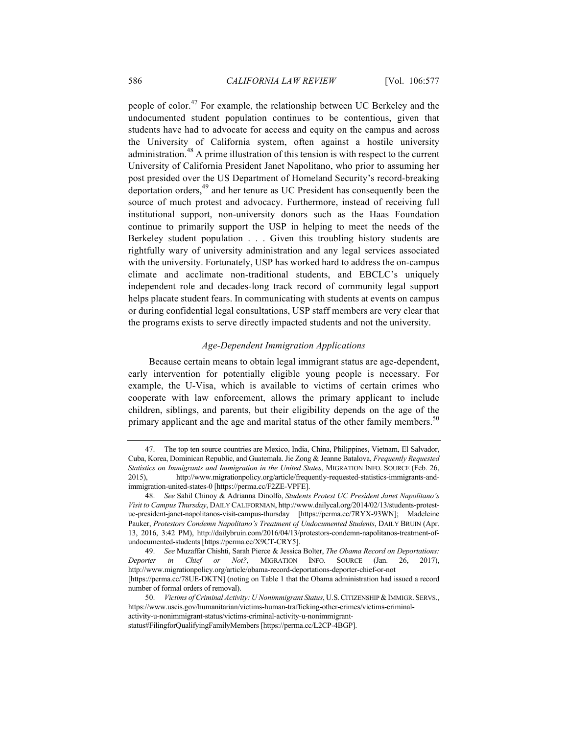people of color.<sup>47</sup> For example, the relationship between UC Berkeley and the undocumented student population continues to be contentious, given that students have had to advocate for access and equity on the campus and across the University of California system, often against a hostile university administration.<sup>48</sup> A prime illustration of this tension is with respect to the current University of California President Janet Napolitano, who prior to assuming her post presided over the US Department of Homeland Security's record-breaking deportation orders,<sup>49</sup> and her tenure as UC President has consequently been the source of much protest and advocacy. Furthermore, instead of receiving full institutional support, non-university donors such as the Haas Foundation continue to primarily support the USP in helping to meet the needs of the Berkeley student population . . . Given this troubling history students are rightfully wary of university administration and any legal services associated with the university. Fortunately, USP has worked hard to address the on-campus climate and acclimate non-traditional students, and EBCLC's uniquely independent role and decades-long track record of community legal support helps placate student fears. In communicating with students at events on campus or during confidential legal consultations, USP staff members are very clear that the programs exists to serve directly impacted students and not the university.

# *Age-Dependent Immigration Applications*

Because certain means to obtain legal immigrant status are age-dependent, early intervention for potentially eligible young people is necessary. For example, the U-Visa, which is available to victims of certain crimes who cooperate with law enforcement, allows the primary applicant to include children, siblings, and parents, but their eligibility depends on the age of the primary applicant and the age and marital status of the other family members.<sup>50</sup>

<sup>47.</sup> The top ten source countries are Mexico, India, China, Philippines, Vietnam, El Salvador, Cuba, Korea, Dominican Republic, and Guatemala. Jie Zong & Jeanne Batalova, *Frequently Requested Statistics on Immigrants and Immigration in the United States*, MIGRATION INFO. SOURCE (Feb. 26, 2015), http://www.migrationpolicy.org/article/frequently-requested-statistics-immigrants-andimmigration-united-states-0 [https://perma.cc/F2ZE-VPFE].

<sup>48.</sup> *See* Sahil Chinoy & Adrianna Dinolfo, *Students Protest UC President Janet Napolitano's Visit to Campus Thursday*, DAILY CALIFORNIAN, http://www.dailycal.org/2014/02/13/students-protestuc-president-janet-napolitanos-visit-campus-thursday [https://perma.cc/7RYX-93WN]; Madeleine Pauker, *Protestors Condemn Napolitano's Treatment of Undocumented Students*, DAILY BRUIN (Apr. 13, 2016, 3:42 PM), http://dailybruin.com/2016/04/13/protestors-condemn-napolitanos-treatment-ofundocumented-students [https://perma.cc/X9CT-CRY5].

<sup>49.</sup> *See* Muzaffar Chishti, Sarah Pierce & Jessica Bolter, *The Obama Record on Deportations: Deporter in Chief or Not?*, MIGRATION INFO. SOURCE (Jan. 26, 2017), http://www.migrationpolicy.org/article/obama-record-deportations-deporter-chief-or-not [https://perma.cc/78UE-DKTN] (noting on Table 1 that the Obama administration had issued a record

number of formal orders of removal).

<sup>50.</sup> *Victims of Criminal Activity: U Nonimmigrant Status*, U.S.CITIZENSHIP &IMMIGR.SERVS., https://www.uscis.gov/humanitarian/victims-human-trafficking-other-crimes/victims-criminalactivity-u-nonimmigrant-status/victims-criminal-activity-u-nonimmigrant-

status#FilingforQualifyingFamilyMembers [https://perma.cc/L2CP-4BGP].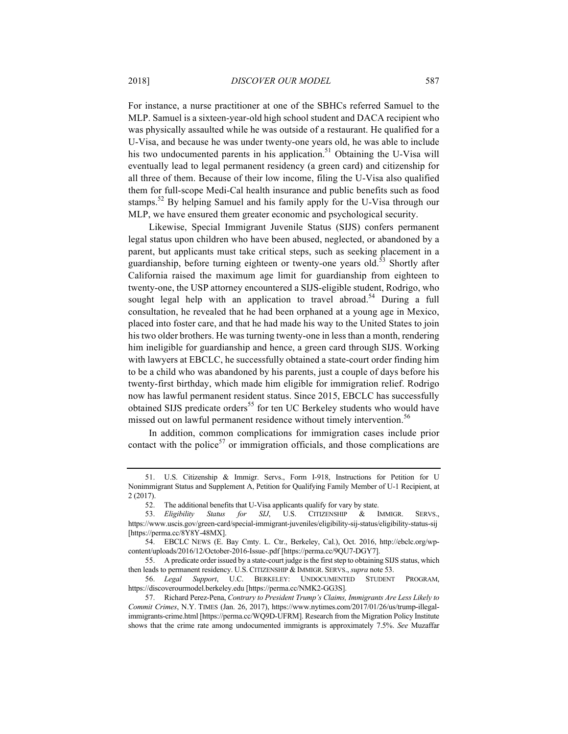For instance, a nurse practitioner at one of the SBHCs referred Samuel to the MLP. Samuel is a sixteen-year-old high school student and DACA recipient who was physically assaulted while he was outside of a restaurant. He qualified for a U-Visa, and because he was under twenty-one years old, he was able to include his two undocumented parents in his application.<sup>51</sup> Obtaining the U-Visa will eventually lead to legal permanent residency (a green card) and citizenship for all three of them. Because of their low income, filing the U-Visa also qualified them for full-scope Medi-Cal health insurance and public benefits such as food stamps.<sup>52</sup> By helping Samuel and his family apply for the U-Visa through our MLP, we have ensured them greater economic and psychological security.

Likewise, Special Immigrant Juvenile Status (SIJS) confers permanent legal status upon children who have been abused, neglected, or abandoned by a parent, but applicants must take critical steps, such as seeking placement in a guardianship, before turning eighteen or twenty-one years old.<sup>53</sup> Shortly after California raised the maximum age limit for guardianship from eighteen to twenty-one, the USP attorney encountered a SIJS-eligible student, Rodrigo, who sought legal help with an application to travel abroad.<sup>54</sup> During a full consultation, he revealed that he had been orphaned at a young age in Mexico, placed into foster care, and that he had made his way to the United States to join his two older brothers. He was turning twenty-one in less than a month, rendering him ineligible for guardianship and hence, a green card through SIJS. Working with lawyers at EBCLC, he successfully obtained a state-court order finding him to be a child who was abandoned by his parents, just a couple of days before his twenty-first birthday, which made him eligible for immigration relief. Rodrigo now has lawful permanent resident status. Since 2015, EBCLC has successfully obtained SIJS predicate orders<sup>55</sup> for ten UC Berkeley students who would have missed out on lawful permanent residence without timely intervention.<sup>56</sup>

In addition, common complications for immigration cases include prior contact with the police<sup>57</sup> or immigration officials, and those complications are

<sup>51.</sup> U.S. Citizenship & Immigr. Servs., Form I-918, Instructions for Petition for U Nonimmigrant Status and Supplement A, Petition for Qualifying Family Member of U-1 Recipient, at 2 (2017).

<sup>52.</sup> The additional benefits that U-Visa applicants qualify for vary by state.

<sup>53.</sup> *Eligibility Status for SIJ*, U.S. CITIZENSHIP & IMMIGR. SERVS., https://www.uscis.gov/green-card/special-immigrant-juveniles/eligibility-sij-status/eligibility-status-sij [https://perma.cc/8Y8Y-48MX].

<sup>54.</sup> EBCLC NEWS (E. Bay Cmty. L. Ctr., Berkeley, Cal.), Oct. 2016, http://ebclc.org/wpcontent/uploads/2016/12/October-2016-Issue-.pdf [https://perma.cc/9QU7-DGY7].

<sup>55.</sup> A predicate order issued by a state-court judge is the first step to obtaining SIJS status, which then leads to permanent residency. U.S. CITIZENSHIP & IMMIGR. SERVS., *supra* note 53.

<sup>56.</sup> *Legal Support*, U.C. BERKELEY: UNDOCUMENTED STUDENT PROGRAM, https://discoverourmodel.berkeley.edu [https://perma.cc/NMK2-GG3S].

<sup>57.</sup> Richard Perez-Pena, *Contrary to President Trump's Claims, Immigrants Are Less Likely to Commit Crimes*, N.Y. TIMES (Jan. 26, 2017), https://www.nytimes.com/2017/01/26/us/trump-illegalimmigrants-crime.html [https://perma.cc/WQ9D-UFRM]. Research from the Migration Policy Institute shows that the crime rate among undocumented immigrants is approximately 7.5%. *See* Muzaffar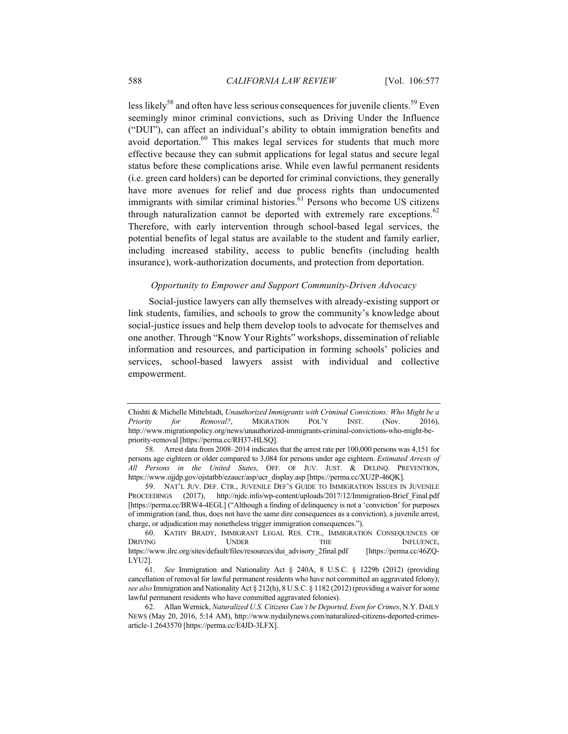less likely<sup>58</sup> and often have less serious consequences for juvenile clients.<sup>59</sup> Even seemingly minor criminal convictions, such as Driving Under the Influence ("DUI"), can affect an individual's ability to obtain immigration benefits and avoid deportation.<sup>60</sup> This makes legal services for students that much more effective because they can submit applications for legal status and secure legal status before these complications arise. While even lawful permanent residents (i.e. green card holders) can be deported for criminal convictions, they generally have more avenues for relief and due process rights than undocumented immigrants with similar criminal histories. $61$  Persons who become US citizens through naturalization cannot be deported with extremely rare exceptions.<sup>62</sup> Therefore, with early intervention through school-based legal services, the potential benefits of legal status are available to the student and family earlier, including increased stability, access to public benefits (including health insurance), work-authorization documents, and protection from deportation.

# *Opportunity to Empower and Support Community-Driven Advocacy*

Social-justice lawyers can ally themselves with already-existing support or link students, families, and schools to grow the community's knowledge about social-justice issues and help them develop tools to advocate for themselves and one another. Through "Know Your Rights" workshops, dissemination of reliable information and resources, and participation in forming schools' policies and services, school-based lawyers assist with individual and collective empowerment.

Chishti & Michelle Mittelstadt, *Unauthorized Immigrants with Criminal Convictions: Who Might be a Priority for Removal?*, MIGRATION POL'Y INST. (Nov. 2016), http://www.migrationpolicy.org/news/unauthorized-immigrants-criminal-convictions-who-might-bepriority-removal [https://perma.cc/RH37-HLSQ].

<sup>58.</sup> Arrest data from 2008–2014 indicates that the arrest rate per 100,000 persons was 4,151 for persons age eighteen or older compared to 3,084 for persons under age eighteen. *Estimated Arrests of All Persons in the United States*, OFF. OF JUV. JUST. & DELINQ. PREVENTION, https://www.ojjdp.gov/ojstatbb/ezaucr/asp/ucr\_display.asp [https://perma.cc/XU2P-46QK].

<sup>59.</sup> NAT'L JUV. DEF. CTR., JUVENILE DEF'S GUIDE TO IMMIGRATION ISSUES IN JUVENILE PROCEEDINGS (2017), http://njdc.info/wp-content/uploads/2017/12/Immigration-Brief Final.pdf [https://perma.cc/BRW4-4EGL] ("Although a finding of delinquency is not a 'conviction' for purposes of immigration (and, thus, does not have the same dire consequences as a conviction), a juvenile arrest, charge, or adjudication may nonetheless trigger immigration consequences.").

<sup>60.</sup> KATHY BRADY, IMMIGRANT LEGAL RES. CTR., IMMIGRATION CONSEQUENCES OF **DRIVING UNDER THE INFLUENCE,** https://www.ilrc.org/sites/default/files/resources/dui\_advisory\_2final.pdf [https://perma.cc/46ZQ-LYU2].

<sup>61.</sup> *See* Immigration and Nationality Act § 240A, 8 U.S.C. § 1229b (2012) (providing cancellation of removal for lawful permanent residents who have not committed an aggravated felony); *see also* Immigration and Nationality Act § 212(h), 8 U.S.C. § 1182 (2012) (providing a waiver for some lawful permanent residents who have committed aggravated felonies).

<sup>62.</sup> Allan Wernick, *Naturalized U.S. Citizens Can't be Deported, Even for Crimes*, N.Y. DAILY NEWS (May 20, 2016, 5:14 AM), http://www.nydailynews.com/naturalized-citizens-deported-crimesarticle-1.2643570 [https://perma.cc/E4JD-3LFX].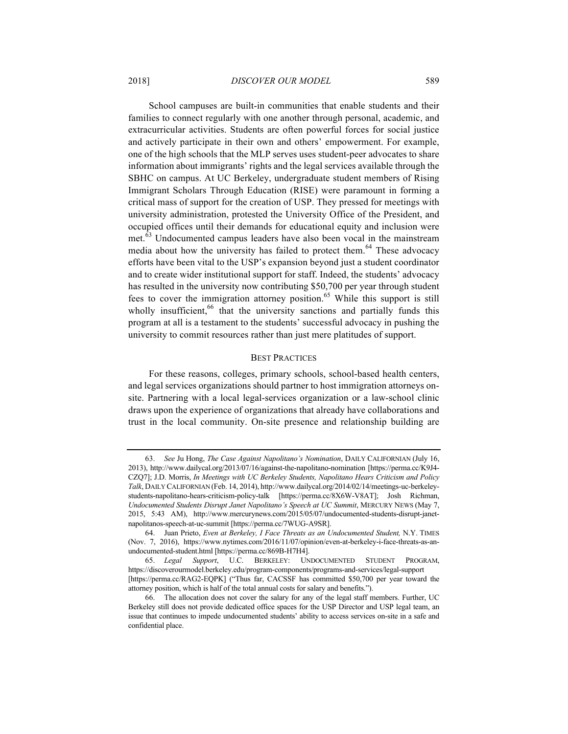School campuses are built-in communities that enable students and their families to connect regularly with one another through personal, academic, and extracurricular activities. Students are often powerful forces for social justice and actively participate in their own and others' empowerment. For example, one of the high schools that the MLP serves uses student-peer advocates to share information about immigrants' rights and the legal services available through the SBHC on campus. At UC Berkeley, undergraduate student members of Rising Immigrant Scholars Through Education (RISE) were paramount in forming a critical mass of support for the creation of USP. They pressed for meetings with university administration, protested the University Office of the President, and occupied offices until their demands for educational equity and inclusion were met.<sup>63</sup> Undocumented campus leaders have also been vocal in the mainstream media about how the university has failed to protect them.<sup>64</sup> These advocacy efforts have been vital to the USP's expansion beyond just a student coordinator and to create wider institutional support for staff. Indeed, the students' advocacy has resulted in the university now contributing \$50,700 per year through student fees to cover the immigration attorney position.<sup>65</sup> While this support is still wholly insufficient,<sup>66</sup> that the university sanctions and partially funds this program at all is a testament to the students' successful advocacy in pushing the university to commit resources rather than just mere platitudes of support.

# BEST PRACTICES

For these reasons, colleges, primary schools, school-based health centers, and legal services organizations should partner to host immigration attorneys onsite. Partnering with a local legal-services organization or a law-school clinic draws upon the experience of organizations that already have collaborations and trust in the local community. On-site presence and relationship building are

<sup>63.</sup> *See* Ju Hong, *The Case Against Napolitano's Nomination*, DAILY CALIFORNIAN (July 16, 2013), http://www.dailycal.org/2013/07/16/against-the-napolitano-nomination [https://perma.cc/K9J4- CZQ7]; J.D. Morris, *In Meetings with UC Berkeley Students, Napolitano Hears Criticism and Policy Talk*, DAILY CALIFORNIAN (Feb. 14, 2014), http://www.dailycal.org/2014/02/14/meetings-uc-berkeleystudents-napolitano-hears-criticism-policy-talk [https://perma.cc/8X6W-V8AT]; Josh Richman, *Undocumented Students Disrupt Janet Napolitano's Speech at UC Summit*, MERCURY NEWS (May 7, 2015, 5:43 AM), http://www.mercurynews.com/2015/05/07/undocumented-students-disrupt-janetnapolitanos-speech-at-uc-summit [https://perma.cc/7WUG-A9SR].

<sup>64.</sup> Juan Prieto, *Even at Berkeley, I Face Threats as an Undocumented Student,* N.Y. TIMES (Nov. 7, 2016), https://www.nytimes.com/2016/11/07/opinion/even-at-berkeley-i-face-threats-as-anundocumented-student.html [https://perma.cc/869B-H7H4].

<sup>65.</sup> *Legal Support*, U.C. BERKELEY: UNDOCUMENTED STUDENT PROGRAM, https://discoverourmodel.berkeley.edu/program-components/programs-and-services/legal-support [https://perma.cc/RAG2-EQPK] ("Thus far, CACSSF has committed \$50,700 per year toward the attorney position, which is half of the total annual costs for salary and benefits.").

<sup>66.</sup> The allocation does not cover the salary for any of the legal staff members. Further, UC Berkeley still does not provide dedicated office spaces for the USP Director and USP legal team, an issue that continues to impede undocumented students' ability to access services on-site in a safe and confidential place.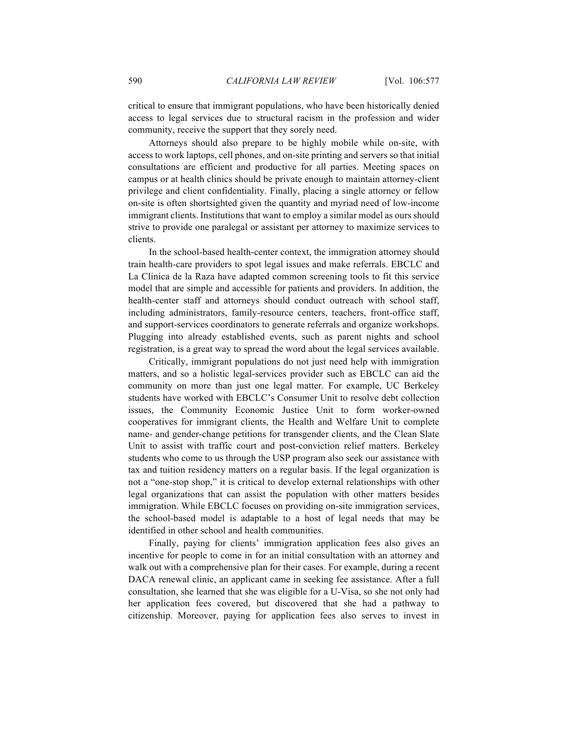critical to ensure that immigrant populations, who have been historically denied access to legal services due to structural racism in the profession and wider community, receive the support that they sorely need.

Attorneys should also prepare to be highly mobile while on-site, with access to work laptops, cell phones, and on-site printing and servers so that initial consultations are efficient and productive for all parties. Meeting spaces on campus or at health clinics should be private enough to maintain attorney-client privilege and client confidentiality. Finally, placing a single attorney or fellow on-site is often shortsighted given the quantity and myriad need of low-income immigrant clients. Institutions that want to employ a similar model as ours should strive to provide one paralegal or assistant per attorney to maximize services to clients.

In the school-based health-center context, the immigration attorney should train health-care providers to spot legal issues and make referrals. EBCLC and La Clinica de la Raza have adapted common screening tools to fit this service model that are simple and accessible for patients and providers. In addition, the health-center staff and attorneys should conduct outreach with school staff, including administrators, family-resource centers, teachers, front-office staff, and support-services coordinators to generate referrals and organize workshops. Plugging into already established events, such as parent nights and school registration, is a great way to spread the word about the legal services available.

Critically, immigrant populations do not just need help with immigration matters, and so a holistic legal-services provider such as EBCLC can aid the community on more than just one legal matter. For example, UC Berkeley students have worked with EBCLC's Consumer Unit to resolve debt collection issues, the Community Economic Justice Unit to form worker-owned cooperatives for immigrant clients, the Health and Welfare Unit to complete name- and gender-change petitions for transgender clients, and the Clean Slate Unit to assist with traffic court and post-conviction relief matters. Berkeley students who come to us through the USP program also seek our assistance with tax and tuition residency matters on a regular basis. If the legal organization is not a "one-stop shop," it is critical to develop external relationships with other legal organizations that can assist the population with other matters besides immigration. While EBCLC focuses on providing on-site immigration services, the school-based model is adaptable to a host of legal needs that may be identified in other school and health communities.

Finally, paying for clients' immigration application fees also gives an incentive for people to come in for an initial consultation with an attorney and walk out with a comprehensive plan for their cases. For example, during a recent DACA renewal clinic, an applicant came in seeking fee assistance. After a full consultation, she learned that she was eligible for a U-Visa, so she not only had her application fees covered, but discovered that she had a pathway to citizenship. Moreover, paying for application fees also serves to invest in